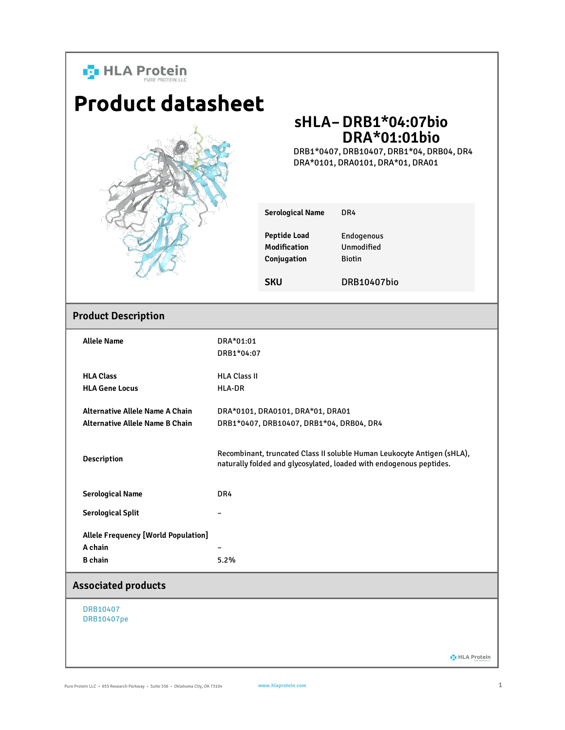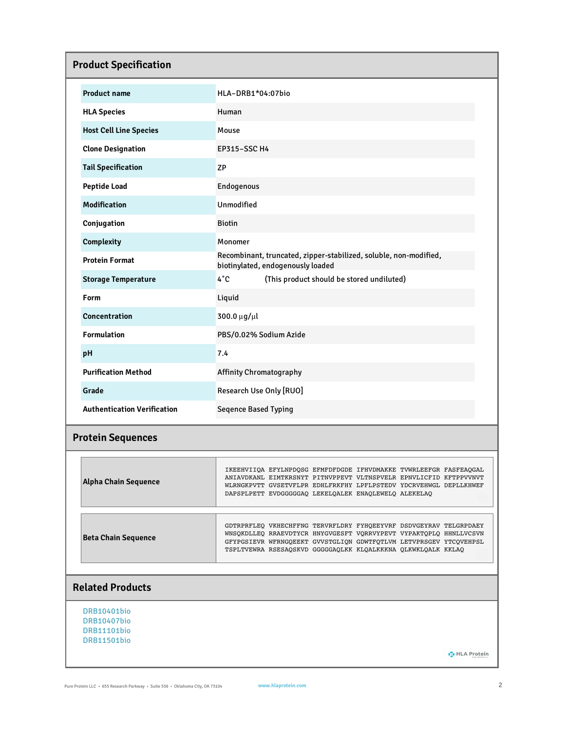| <b>Product Specification</b>       |                                                                                                                                                                                                                                                                             |  |
|------------------------------------|-----------------------------------------------------------------------------------------------------------------------------------------------------------------------------------------------------------------------------------------------------------------------------|--|
| <b>Product name</b>                | HLA-DRB1*04:07bio                                                                                                                                                                                                                                                           |  |
| <b>HLA Species</b>                 | Human                                                                                                                                                                                                                                                                       |  |
| <b>Host Cell Line Species</b>      | Mouse                                                                                                                                                                                                                                                                       |  |
| <b>Clone Designation</b>           | <b>EP315-SSC H4</b>                                                                                                                                                                                                                                                         |  |
| <b>Tail Specification</b>          | <b>ZP</b>                                                                                                                                                                                                                                                                   |  |
| <b>Peptide Load</b>                | Endogenous                                                                                                                                                                                                                                                                  |  |
| <b>Modification</b>                | Unmodified                                                                                                                                                                                                                                                                  |  |
| Conjugation                        | <b>Biotin</b>                                                                                                                                                                                                                                                               |  |
| Complexity                         | Monomer                                                                                                                                                                                                                                                                     |  |
| <b>Protein Format</b>              | Recombinant, truncated, zipper-stabilized, soluble, non-modified,<br>biotinylated, endogenously loaded                                                                                                                                                                      |  |
| <b>Storage Temperature</b>         | $4^{\circ}C$<br>(This product should be stored undiluted)                                                                                                                                                                                                                   |  |
| Form                               | Liquid                                                                                                                                                                                                                                                                      |  |
| <b>Concentration</b>               | 300.0 µg/µl                                                                                                                                                                                                                                                                 |  |
| <b>Formulation</b>                 | PBS/0.02% Sodium Azide                                                                                                                                                                                                                                                      |  |
| pH                                 | 7.4                                                                                                                                                                                                                                                                         |  |
| <b>Purification Method</b>         | <b>Affinity Chromatography</b>                                                                                                                                                                                                                                              |  |
| Grade                              | Research Use Only [RUO]                                                                                                                                                                                                                                                     |  |
| <b>Authentication Verification</b> | <b>Seqence Based Typing</b>                                                                                                                                                                                                                                                 |  |
| <b>Protein Sequences</b>           |                                                                                                                                                                                                                                                                             |  |
| <b>Alpha Chain Sequence</b>        | IKEEHVIIQA EFYLNPDQSG EFMFDFDGDE IFHVDMAKKE TVWRLEEFGR FASFEAQGAL<br>ANIAVDKANL EIMTKRSNYT PITNVPPEVT VLTNSPVELR EPNVLICFID KFTPPVVNVT<br>WLRNGKPVTT GVSETVFLPR EDHLFRKFHY LPFLPSTEDV YDCRVEHWGL DEPLLKHWEF<br>DAPSPLPETT EVDGGGGGAQ LEKELQALEK ENAQLEWELQ ALEKELAQ         |  |
| <b>Beta Chain Sequence</b>         | GDTRPRFLEQ VKHECHFFNG TERVRFLDRY FYHQEEYVRF DSDVGEYRAV TELGRPDAEY<br>WNSQKDLLEQ RRAEVDTYCR HNYGVGESFT VQRRVYPEVT VYPAKTQPLQ HHNLLVCSVN<br>GFYPGSIEVR WFRNGQEEKT GVVSTGLIQN GDWTFQTLVM LETVPRSGEV YTCQVEHPSL<br>TSPLTVEWRA RSESAQSKVD GGGGGAQLKK KLQALKKKNA QLKWKLQALK KKLAQ |  |
| <b>Related Products</b>            |                                                                                                                                                                                                                                                                             |  |

DRB10401bio DRB10407bio DRB11101bio DRB11501bio

**D** HLA Protein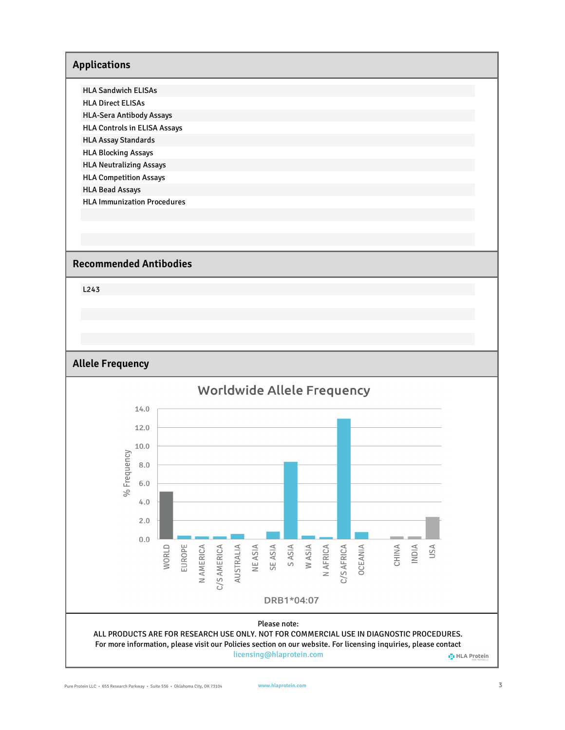